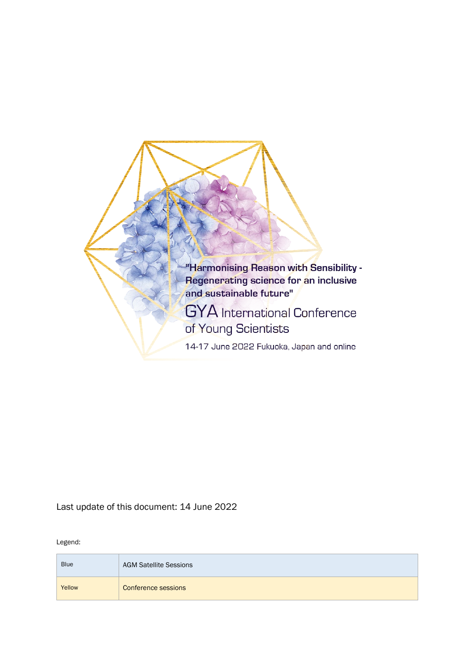

Last update of this document: 14 June 2022

Legend:

| <b>Blue</b> | <b>AGM Satellite Sessions</b> |
|-------------|-------------------------------|
| Yellow      | Conference sessions           |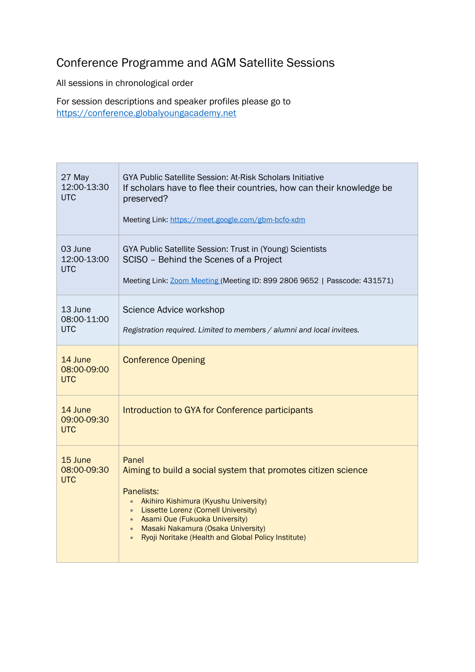## Conference Programme and AGM Satellite Sessions

All sessions in chronological order

For session descriptions and speaker profiles please go to [https://conference.globalyoungacademy.net](https://conference.globalyoungacademy.net/)

| 27 May<br>12:00-13:30<br><b>UTC</b>  | GYA Public Satellite Session: At-Risk Scholars Initiative<br>If scholars have to flee their countries, how can their knowledge be<br>preserved?<br>Meeting Link: https://meet.google.com/gbm-bcfo-xdm                                                                                                                 |
|--------------------------------------|-----------------------------------------------------------------------------------------------------------------------------------------------------------------------------------------------------------------------------------------------------------------------------------------------------------------------|
| 03 June<br>12:00-13:00<br><b>UTC</b> | GYA Public Satellite Session: Trust in (Young) Scientists<br>SCISO - Behind the Scenes of a Project<br>Meeting Link: Zoom Meeting (Meeting ID: 899 2806 9652   Passcode: 431571)                                                                                                                                      |
| 13 June<br>08:00-11:00<br><b>UTC</b> | Science Advice workshop<br>Registration required. Limited to members / alumni and local invitees.                                                                                                                                                                                                                     |
| 14 June<br>08:00-09:00<br><b>UTC</b> | <b>Conference Opening</b>                                                                                                                                                                                                                                                                                             |
| 14 June<br>09:00-09:30<br><b>UTC</b> | Introduction to GYA for Conference participants                                                                                                                                                                                                                                                                       |
| 15 June<br>08:00-09:30<br><b>UTC</b> | Panel<br>Aiming to build a social system that promotes citizen science<br>Panelists:<br>Akihiro Kishimura (Kyushu University)<br>• Lissette Lorenz (Cornell University)<br>• Asami Oue (Fukuoka University)<br>Masaki Nakamura (Osaka University)<br>$\bullet$<br>Ryoji Noritake (Health and Global Policy Institute) |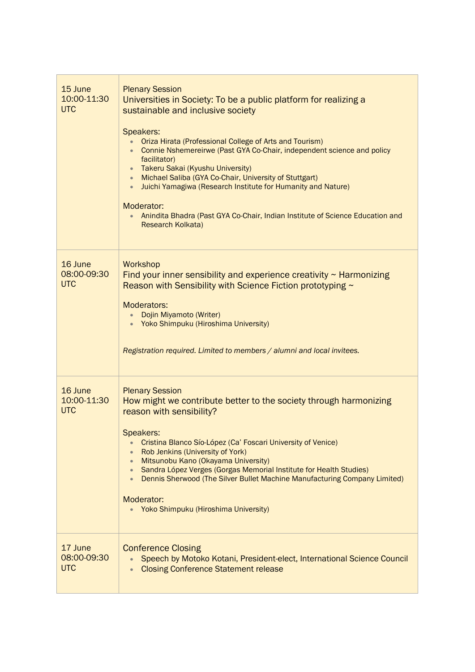| 15 June<br>10:00-11:30<br><b>UTC</b> | <b>Plenary Session</b><br>Universities in Society: To be a public platform for realizing a<br>sustainable and inclusive society<br>Speakers:<br>Oriza Hirata (Professional College of Arts and Tourism)<br>Connie Nshemereirwe (Past GYA Co-Chair, independent science and policy<br>facilitator)<br>Takeru Sakai (Kyushu University)<br>$\bullet$<br>Michael Saliba (GYA Co-Chair, University of Stuttgart)<br>$\bullet$<br>Juichi Yamagiwa (Research Institute for Humanity and Nature)<br>$\bullet$<br>Moderator:<br>Anindita Bhadra (Past GYA Co-Chair, Indian Institute of Science Education and<br>Research Kolkata) |
|--------------------------------------|----------------------------------------------------------------------------------------------------------------------------------------------------------------------------------------------------------------------------------------------------------------------------------------------------------------------------------------------------------------------------------------------------------------------------------------------------------------------------------------------------------------------------------------------------------------------------------------------------------------------------|
| 16 June<br>08:00-09:30<br><b>UTC</b> | Workshop<br>Find your inner sensibility and experience creativity $\sim$ Harmonizing<br>Reason with Sensibility with Science Fiction prototyping $\sim$<br>Moderators:<br>Dojin Miyamoto (Writer)<br>Yoko Shimpuku (Hiroshima University)<br>Registration required. Limited to members / alumni and local invitees.                                                                                                                                                                                                                                                                                                        |
| 16 June<br>10:00-11:30<br><b>UTC</b> | <b>Plenary Session</b><br>How might we contribute better to the society through harmonizing<br>reason with sensibility?<br>Speakers:<br>Cristina Blanco Sío-López (Ca' Foscari University of Venice)<br>$\bullet$<br>Rob Jenkins (University of York)<br>$\bullet$<br>Mitsunobu Kano (Okayama University)<br>$\bullet$<br>Sandra López Verges (Gorgas Memorial Institute for Health Studies)<br>$\bullet$<br>Dennis Sherwood (The Silver Bullet Machine Manufacturing Company Limited)<br>$\bullet$<br>Moderator:<br>• Yoko Shimpuku (Hiroshima University)                                                                |
| 17 June<br>08:00-09:30<br><b>UTC</b> | <b>Conference Closing</b><br>Speech by Motoko Kotani, President-elect, International Science Council<br><b>Closing Conference Statement release</b><br>$\bullet$                                                                                                                                                                                                                                                                                                                                                                                                                                                           |